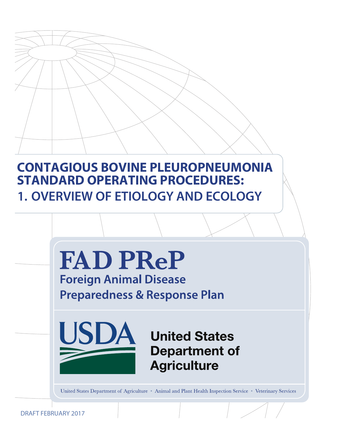# **CONTAGIOUS BOVINE PLEUROPNEUMONIA STANDARD OPERATING PROCEDURES: 1. OVERVIEW OF ETIOLOGY AND ECOLOGY**



DRAFT FEBRUARY 2017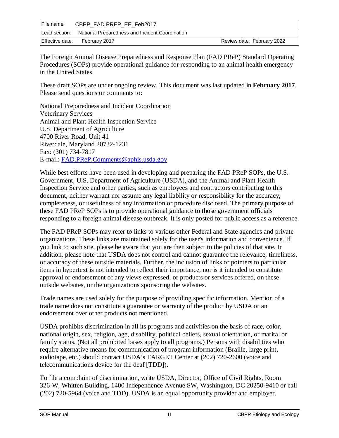| File name:      | CBPP FAD PREP EE Feb2017                                      |                            |
|-----------------|---------------------------------------------------------------|----------------------------|
|                 | Lead section: National Preparedness and Incident Coordination |                            |
| Effective date: | February 2017                                                 | Review date: February 2022 |

The Foreign Animal Disease Preparedness and Response Plan (FAD PReP) Standard Operating Procedures (SOPs) provide operational guidance for responding to an animal health emergency in the United States.

These draft SOPs are under ongoing review. This document was last updated in **February 2017**. Please send questions or comments to:

National Preparedness and Incident Coordination Veterinary Services Animal and Plant Health Inspection Service U.S. Department of Agriculture 4700 River Road, Unit 41 Riverdale, Maryland 20732-1231 Fax: (301) 734-7817 E-mail: [FAD.PReP.Comments@aphis.usda.gov](mailto:FAD.PReP.Comments@aphis.usda.gov)

While best efforts have been used in developing and preparing the FAD PReP SOPs, the U.S. Government, U.S. Department of Agriculture (USDA), and the Animal and Plant Health Inspection Service and other parties, such as employees and contractors contributing to this document, neither warrant nor assume any legal liability or responsibility for the accuracy, completeness, or usefulness of any information or procedure disclosed. The primary purpose of these FAD PReP SOPs is to provide operational guidance to those government officials responding to a foreign animal disease outbreak. It is only posted for public access as a reference.

The FAD PReP SOPs may refer to links to various other Federal and State agencies and private organizations. These links are maintained solely for the user's information and convenience. If you link to such site, please be aware that you are then subject to the policies of that site. In addition, please note that USDA does not control and cannot guarantee the relevance, timeliness, or accuracy of these outside materials. Further, the inclusion of links or pointers to particular items in hypertext is not intended to reflect their importance, nor is it intended to constitute approval or endorsement of any views expressed, or products or services offered, on these outside websites, or the organizations sponsoring the websites.

Trade names are used solely for the purpose of providing specific information. Mention of a trade name does not constitute a guarantee or warranty of the product by USDA or an endorsement over other products not mentioned.

USDA prohibits discrimination in all its programs and activities on the basis of race, color, national origin, sex, religion, age, disability, political beliefs, sexual orientation, or marital or family status. (Not all prohibited bases apply to all programs.) Persons with disabilities who require alternative means for communication of program information (Braille, large print, audiotape, etc.) should contact USDA's TARGET Center at (202) 720-2600 (voice and telecommunications device for the deaf [TDD]).

To file a complaint of discrimination, write USDA, Director, Office of Civil Rights, Room 326-W, Whitten Building, 1400 Independence Avenue SW, Washington, DC 20250-9410 or call (202) 720-5964 (voice and TDD). USDA is an equal opportunity provider and employer.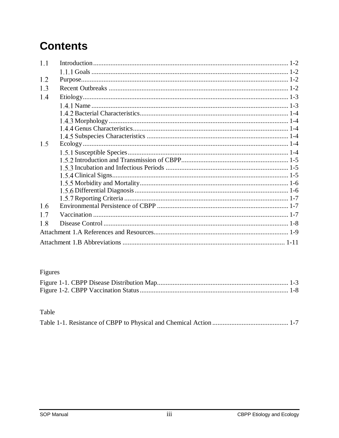# **Contents**

| 1.1 |  |
|-----|--|
|     |  |
| 1.2 |  |
| 1.3 |  |
| 1.4 |  |
|     |  |
|     |  |
|     |  |
|     |  |
|     |  |
| 1.5 |  |
|     |  |
|     |  |
|     |  |
|     |  |
|     |  |
|     |  |
|     |  |
| 1.6 |  |
| 1.7 |  |
| 1.8 |  |
|     |  |
|     |  |

## Figures

#### Table

|--|--|--|--|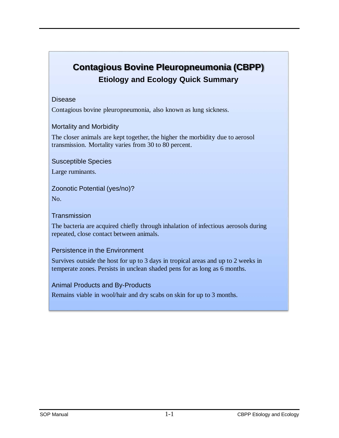## **Contagious Bovine Pleuropneumonia (CBPP) Etiology and Ecology Quick Summary**

#### Disease

Contagious bovine pleuropneumonia, also known as lung sickness.

#### Mortality and Morbidity

The closer animals are kept together, the higher the morbidity due to aerosol transmission. Mortality varies from 30 to 80 percent.

Susceptible Species

Large ruminants.

Zoonotic Potential (yes/no)?

No.

**Transmission** 

The bacteria are acquired chiefly through inhalation of infectious aerosols during repeated, close contact between animals.

#### Persistence in the Environment

Survives outside the host for up to 3 days in tropical areas and up to 2 weeks in temperate zones. Persists in unclean shaded pens for as long as 6 months.

Animal Products and By-Products

Remains viable in wool/hair and dry scabs on skin for up to 3 months.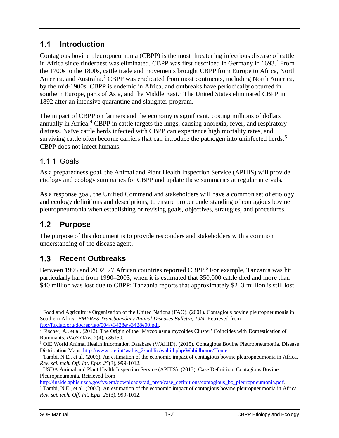#### $1.1$ **Introduction**

Contagious bovine pleuropneumonia (CBPP) is the most threatening infectious disease of cattle in Africa since rinderpest was eliminated. CBPP was first described in Germany in [1](#page-4-0)693.<sup>1</sup> From the 1700s to the 1800s, cattle trade and movements brought CBPP from Europe to Africa, North America, and Australia.<sup>[2](#page-4-1)</sup> CBPP was eradicated from most continents, including North America, by the mid-1900s. CBPP is endemic in Africa, and outbreaks have periodically occurred in southern Europe, parts of Asia, and the Middle East.<sup>[3](#page-4-2)</sup> The United States eliminated CBPP in 1892 after an intensive quarantine and slaughter program.

The impact of CBPP on farmers and the economy is significant, costing millions of dollars annually in Africa. [4](#page-4-3) CBPP in cattle targets the lungs, causing anorexia, fever, and respiratory distress. Naïve cattle herds infected with CBPP can experience high mortality rates, and surviving cattle often become carriers that can introduce the pathogen into uninfected herds.<sup>[5](#page-4-4)</sup> CBPP does not infect humans.

### 1.1.1 Goals

As a preparedness goal, the Animal and Plant Health Inspection Service (APHIS) will provide etiology and ecology summaries for CBPP and update these summaries at regular intervals.

As a response goal, the Unified Command and stakeholders will have a common set of etiology and ecology definitions and descriptions, to ensure proper understanding of contagious bovine pleuropneumonia when establishing or revising goals, objectives, strategies, and procedures.

#### $1.2$ **Purpose**

The purpose of this document is to provide responders and stakeholders with a common understanding of the disease agent.

#### $1.3$ **Recent Outbreaks**

Between 1995 and 2002, 27 African countries reported CBPP.<sup>[6](#page-4-5)</sup> For example, Tanzania was hit particularly hard from 1990–2003, when it is estimated that 350,000 cattle died and more than \$40 million was lost due to CBPP; Tanzania reports that approximately \$2–3 million is still lost

<span id="page-4-0"></span> <sup>1</sup> Food and Agriculture Organization of the United Nations (FAO). (2001). Contagious bovine pleuropneumonia in Southern Africa. *EMPRES Transboundary Animal Diseases Bulletin, 19/4.* Retrieved from [ftp://ftp.fao.org/docrep/fao/004/y3428e/y3428e00.pdf.](ftp://ftp.fao.org/docrep/fao/004/y3428e/y3428e00.pdf)

<span id="page-4-1"></span><sup>&</sup>lt;sup>2</sup> Fischer, A., et al. (2012). The Origin of the 'Mycoplasma mycoides Cluster' Coincides with Domestication of

<span id="page-4-2"></span>Ruminants. *PLoS ONE*, 7(4), e36150.<br><sup>3</sup> OIE World Animal Health Information Database (WAHID). (2015). Contagious Bovine Pleuropneumonia. Disease Distribution Maps. [http://www.oie.int/wahis\\_2/public/wahid.php/Wahidhome/Home.](http://www.oie.int/wahis_2/public/wahid.php/Wahidhome/Home)

<span id="page-4-3"></span><sup>4</sup> Tambi, N.E., et al. (2006). An estimation of the economic impact of contagious bovine pleuropneumonia in Africa. *Rev. sci. tech. Off. Int. Epiz, 25*(3), 999-1012.

<span id="page-4-4"></span><sup>5</sup> USDA Animal and Plant Health Inspection Service (APHIS). (2013). Case Definition: Contagious Bovine Pleuropneumonia. Retrieved from

[http://inside.aphis.usda.gov/vs/em/downloads/fad\\_prep/case\\_definitions/contagious\\_bo\\_pleuropneumonia.pdf.](http://inside.aphis.usda.gov/vs/em/downloads/fad_prep/case_definitions/contagious_bo_pleuropneumonia.pdf)

<span id="page-4-5"></span><sup>6</sup> Tambi, N.E., et al. (2006). An estimation of the economic impact of contagious bovine pleuropneumonia in Africa. *Rev. sci. tech. Off. Int. Epiz, 25*(3), 999-1012.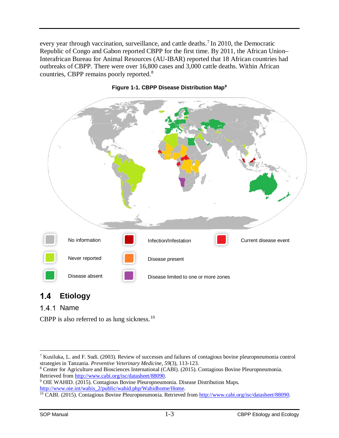every year through vaccination, surveillance, and cattle deaths.<sup>[7](#page-5-0)</sup> In 2010, the Democratic Republic of Congo and Gabon reported CBPP for the first time. By 2011, the African Union– Interafrican Bureau for Animal Resources (AU-IBAR) reported that 18 African countries had outbreaks of CBPP. There were over 16,800 cases and 3,000 cattle deaths. Within African countries, CBPP remains poorly reported.[8](#page-5-1)



#### **Figure 1-1. CBPP Disease Distribution Map[9](#page-5-2)**

#### $1.4$ **Etiology**

#### 1.4.1 Name

CBPP is also referred to as lung sickness.<sup>[10](#page-5-3)</sup>

<span id="page-5-0"></span><sup>&</sup>lt;sup>7</sup> Kusiluka, L. and F. Sudi. (2003). Review of successes and failures of contagious bovine pleuropneumonia control strategies in Tanzania. *Preventive Veterinary Medicine*, 59(3), 113-123.

<span id="page-5-1"></span><sup>&</sup>lt;sup>8</sup> Center for Agriculture and Biosciences International (CABI). (2015). Contagious Bovine Pleuropneumonia. Retrieved from [http://www.cabi.org/isc/datasheet/88090.](http://www.cabi.org/isc/datasheet/88090)

<span id="page-5-2"></span><sup>9</sup> OIE WAHID. (2015). Contagious Bovine Pleuropneumonia. Disease Distribution Maps. [http://www.oie.int/wahis\\_2/public/wahid.php/Wahidhome/Home.](http://www.oie.int/wahis_2/public/wahid.php/Wahidhome/Home)

<span id="page-5-3"></span><sup>10</sup> CABI. (2015). Contagious Bovine Pleuropneumonia. Retrieved from [http://www.cabi.org/isc/datasheet/88090.](http://www.cabi.org/isc/datasheet/88090)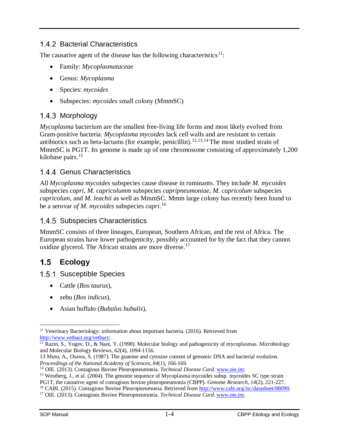### 1.4.2 Bacterial Characteristics

The causative agent of the disease has the following characteristics $11$ :

- Family: *Mycoplasmataceae*
- Genus: *Mycoplasma*
- Species: *mycoides*
- Subspecies: *mycoides* small colony (MmmSC)

#### 1.4.3 Morphology

*Mycoplasma* bacterium are the smallest free-living life forms and most likely evolved from Gram-positive bacteria. *Mycoplasma mycoides* lack cell walls and are resistant to certain antibiotics such as beta-lactams (for example, penicillin).<sup>[12](#page-6-1),[13,](#page-6-2)[14](#page-6-3)</sup> The most studied strain of MmmSC is PG1T. Its genome is made up of one chromosome consisting of approximately 1,200 kilobase pairs. [15](#page-6-4)

#### 1.4.4 Genus Characteristics

All *Mycoplasma mycoides* subspecies cause disease in ruminants. They include *M. mycoides* subspecies *capri*, *M. capricolumm* subspecies *capripneumoniae*, *M. capricolum* subspecies *capricolum*, and *M. leachii* as well as MmmSC. Mmm large colony has recently been found to be a serovar *of M. mycoides* subspecies *capri*. [16](#page-6-5)

#### 1.4.5 Subspecies Characteristics

MmmSC consists of three lineages, European, Southern African, and the rest of Africa. The European strains have lower pathogenicity, possibly accounted for by the fact that they cannot oxidize glycerol. The African strains are more diverse.<sup>[17](#page-6-6)</sup>

#### $1.5$ **Ecology**

1.5.1 Susceptible Species

- Cattle (*Bos taurus*),
- zebu (*Bos indicus*),
- Asian buffalo (*Bubalus bubalis*),

<span id="page-6-0"></span> <sup>11</sup> Veterinary Bacteriology: information about important bacteria. (2016). Retrieved from [http://www.vetbact.org/vetbact/.](http://www.vetbact.org/vetbact/)

<span id="page-6-1"></span> $12$  Razin, S., Yogev, D., & Naot, Y. (1998). Molecular biology and pathogenicity of mycoplasmas. Microbiology and Molecular Biology Reviews, *62*(4), 1094-1156.

<span id="page-6-2"></span><sup>13</sup> Muto, A., Osawa, S. (1987). The guanine and cytosine content of genomic DNA and bacterial evolution. *Proceedings of the National Academy of Sciences, 84*(1), 166-169.

<span id="page-6-3"></span><sup>14</sup> OIE. (2013). Contagious Bovine Pleuropneumonia. *Technical Disease Card*. [www.oie.int.](http://www.oie.int/)

<span id="page-6-4"></span><sup>&</sup>lt;sup>15</sup> Westberg, J., et al. (2004). The genome sequence of Mycoplasma mycoides subsp. mycoides SC type strain

PG1T, the causative agent of contagious bovine pleuropneumonia (CBPP). *Genome Research, 14*(2), 221-227.

<span id="page-6-5"></span><sup>16</sup> CABI. (2015). Contagious Bovine Pleuropneumonia. Retrieved from [http://www.cabi.org/isc/datasheet/88090.](http://www.cabi.org/isc/datasheet/88090)

<span id="page-6-6"></span><sup>17</sup> OIE. (2013). Contagious Bovine Pleuropneumonia. *Technical Disease Card*. [www.oie.int.](http://www.oie.int/)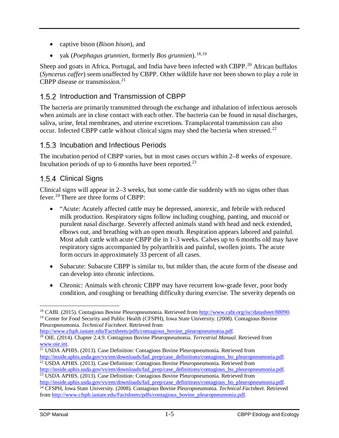- captive bison (*Bison bison*), and
- yak (*Poephagus grunnien*, formerly *Bos grunnien*).<sup>[18](#page-7-0),[19](#page-7-1)</sup>

Sheep and goats in Africa, Portugal, and India have been infected with CBPP.<sup>[20](#page-7-2)</sup> African buffalos (*Syncerus caffer*) seem unaffected by CBPP. Other wildlife have not been shown to play a role in CBPP disease or transmission.<sup>[21](#page-7-3)</sup>

### 1.5.2 Introduction and Transmission of CBPP

The bacteria are primarily transmitted through the exchange and inhalation of infectious aerosols when animals are in close contact with each other. The bacteria can be found in nasal discharges, saliva, urine, fetal membranes, and uterine excretions. Transplacental transmission can also occur. Infected CBPP cattle without clinical signs may shed the bacteria when stressed.<sup>[22](#page-7-4)</sup>

### 1.5.3 Incubation and Infectious Periods

The incubation period of CBPP varies, but in most cases occurs within 2–8 weeks of exposure. Incubation periods of up to 6 months have been reported.<sup>[23](#page-7-5)</sup>

### 1.5.4 Clinical Signs

Clinical signs will appear in 2–3 weeks, but some cattle die suddenly with no signs other than fever.[24](#page-7-6) There are three forms of CBPP:

- "Acute: Acutely affected cattle may be depressed, anorexic, and febrile with reduced milk production. Respiratory signs follow including coughing, panting, and mucoid or purulent nasal discharge. Severely affected animals stand with head and neck extended, elbows out, and breathing with an open mouth. Respiration appears labored and painful. Most adult cattle with acute CBPP die in 1–3 weeks. Calves up to 6 months old may have respiratory signs accompanied by polyarthritis and painful, swollen joints. The acute form occurs in approximately 33 percent of all cases.
- Subacute: Subacute CBPP is similar to, but milder than, the acute form of the disease and can develop into chronic infections.
- Chronic: Animals with chronic CBPP may have recurrent low-grade fever, poor body condition, and coughing or breathing difficulty during exercise. The severity depends on

[http://www.cfsph.iastate.edu/Factsheets/pdfs/contagious\\_bovine\\_pleuropneumonia.pdf.](http://www.cfsph.iastate.edu/Factsheets/pdfs/contagious_bovine_pleuropneumonia.pdf)

<span id="page-7-1"></span><span id="page-7-0"></span> <sup>18</sup> CABI. (2015). Contagious Bovine Pleuropneumonia. Retrieved from [http://www.cabi.org/isc/datasheet/88090.](http://www.cabi.org/isc/datasheet/88090) <sup>19</sup> Center for Food Security and Public Health (CFSPH), Iowa State University. (2008). Contagious Bovine Pleuropneumonia. *Technical Factsheet*. Retrieved from

<span id="page-7-2"></span><sup>20</sup> OIE. (2014). Chapter 2.4.9. Contagious Bovine Pleuropneumonia. *Terrestrial Manual*. Retrieved from [www.oie.int.](https://teamlmiclient.lmi.org/APHIS%20Surveillance%20Preparedness%20and%20Response%20Documents/HPAI%20Response%20PlanDraftAug2015/Etiology%20and%20Ecology%20Docs/LSDV/www.oie.int)

<span id="page-7-3"></span><sup>&</sup>lt;sup>21</sup> USDA APHIS. (2013). Case Definition: Contagious Bovine Pleuropneumonia. Retrieved from [http://inside.aphis.usda.gov/vs/em/downloads/fad\\_prep/case\\_definitions/contagious\\_bo\\_pleuropneumonia.pdf.](http://inside.aphis.usda.gov/vs/em/downloads/fad_prep/case_definitions/contagious_bo_pleuropneumonia.pdf) <sup>22</sup> USDA APHIS. (2013). Case Definition: Contagious Bovine Pleuropneumonia. Retrieved from

<span id="page-7-4"></span>[http://inside.aphis.usda.gov/vs/em/downloads/fad\\_prep/case\\_definitions/contagious\\_bo\\_pleuropneumonia.pdf.](http://inside.aphis.usda.gov/vs/em/downloads/fad_prep/case_definitions/contagious_bo_pleuropneumonia.pdf) <sup>23</sup> USDA APHIS. (2013). Case Definition: Contagious Bovine Pleuropneumonia. Retrieved from

<span id="page-7-6"></span><span id="page-7-5"></span>[http://inside.aphis.usda.gov/vs/em/downloads/fad\\_prep/case\\_definitions/contagious\\_bo\\_pleuropneumonia.pdf.](http://inside.aphis.usda.gov/vs/em/downloads/fad_prep/case_definitions/contagious_bo_pleuropneumonia.pdf) <sup>24</sup> CFSPH, Iowa State University. (2008). Contagious Bovine Pleuropneumonia. *Technical Factsheet*. Retrieved from [http://www.cfsph.iastate.edu/Factsheets/pdfs/contagious\\_bovine\\_pleuropneumonia.pdf.](http://www.cfsph.iastate.edu/Factsheets/pdfs/contagious_bovine_pleuropneumonia.pdf)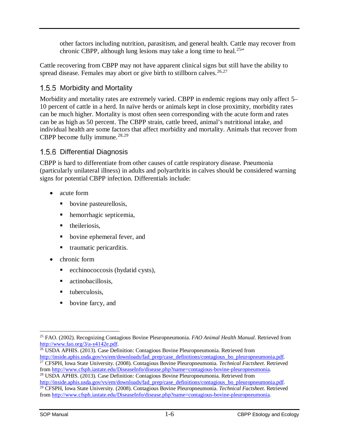other factors including nutrition, parasitism, and general health. Cattle may recover from chronic CBPP, although lung lesions may take a long time to heal.<sup>[25"](#page-8-0)</sup>

Cattle recovering from CBPP may not have apparent clinical signs but still have the ability to spread disease. Females may abort or give birth to stillborn calves.<sup>[26,](#page-8-1)[27](#page-8-2)</sup>

### 1.5.5 Morbidity and Mortality

Morbidity and mortality rates are extremely varied. CBPP in endemic regions may only affect 5– 10 percent of cattle in a herd. In naïve herds or animals kept in close proximity, morbidity rates can be much higher. Mortality is most often seen corresponding with the acute form and rates can be as high as 50 percent. The CBPP strain, cattle breed, animal's nutritional intake, and individual health are some factors that affect morbidity and mortality. Animals that recover from CBPP become fully immune. [28](#page-8-3),[29](#page-8-4)

### 1.5.6 Differential Diagnosis

CBPP is hard to differentiate from other causes of cattle respiratory disease. Pneumonia (particularly unilateral illness) in adults and polyarthritis in calves should be considered warning signs for potential CBPP infection. Differentials include:

- acute form
	- bovine pasteurellosis,
	- hemorrhagic septicemia,
	- **theileriosis.**
	- **bovine ephemeral fever, and**
	- traumatic pericarditis.
- chronic form
	- **example 2** ecchinococcosis (hydatid cysts),
	- actinobacillosis.
	- $\blacksquare$  tuberculosis.
	- bovine farcy, and

<span id="page-8-1"></span><sup>26</sup> USDA APHIS. (2013). Case Definition: Contagious Bovine Pleuropneumonia. Retrieved from

<span id="page-8-0"></span> <sup>25</sup> FAO. (2002). Recognizing Contagious Bovine Pleuropneumonia. *FAO Animal Health Manual*. Retrieved from [http://www.fao.org/3/a-y4142e.pdf.](http://www.fao.org/3/a-y4142e.pdf)

<span id="page-8-2"></span>[http://inside.aphis.usda.gov/vs/em/downloads/fad\\_prep/case\\_definitions/contagious\\_bo\\_pleuropneumonia.pdf.](http://inside.aphis.usda.gov/vs/em/downloads/fad_prep/case_definitions/contagious_bo_pleuropneumonia.pdf) <sup>27</sup> CFSPH, Iowa State University. (2008). Contagious Bovine Pleuropneumonia. *Technical Factsheet*. Retrieved from [http://www.cfsph.iastate.edu/DiseaseInfo/disease.php?name=contagious-bovine-pleuropneumonia.](http://www.cfsph.iastate.edu/DiseaseInfo/disease.php?name=contagious-bovine-pleuropneumonia)

<span id="page-8-3"></span><sup>28</sup> USDA APHIS. (2013). Case Definition: Contagious Bovine Pleuropneumonia. Retrieved from [http://inside.aphis.usda.gov/vs/em/downloads/fad\\_prep/case\\_definitions/contagious\\_bo\\_pleuropneumonia.pdf.](http://inside.aphis.usda.gov/vs/em/downloads/fad_prep/case_definitions/contagious_bo_pleuropneumonia.pdf)

<span id="page-8-4"></span><sup>29</sup> CFSPH, Iowa State University. (2008). Contagious Bovine Pleuropneumonia. *Technical Factsheet*. Retrieved from [http://www.cfsph.iastate.edu/DiseaseInfo/disease.php?name=contagious-bovine-pleuropneumonia.](http://www.cfsph.iastate.edu/DiseaseInfo/disease.php?name=contagious-bovine-pleuropneumonia)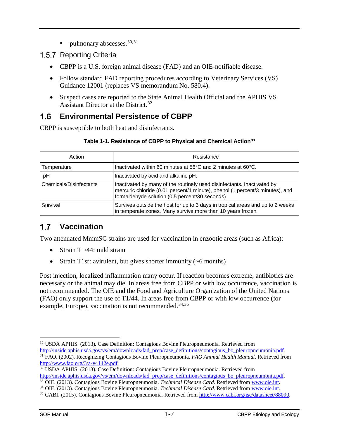ulmonary abscesses.  $30,31$  $30,31$ 

### 1.5.7 Reporting Criteria

- CBPP is a U.S. foreign animal disease (FAD) and an OIE-notifiable disease.
- Follow standard FAD reporting procedures according to Veterinary Services (VS) Guidance 12001 (replaces VS memorandum No. 580.4).
- Suspect cases are reported to the State Animal Health Official and the APHIS VS Assistant Director at the District. [32](#page-9-2)

#### $1.6$ **Environmental Persistence of CBPP**

CBPP is susceptible to both heat and disinfectants.

| Action                  | Resistance                                                                                                                                                                                                 |
|-------------------------|------------------------------------------------------------------------------------------------------------------------------------------------------------------------------------------------------------|
| Temperature             | Inactivated within 60 minutes at 56°C and 2 minutes at 60°C.                                                                                                                                               |
| рH                      | Inactivated by acid and alkaline pH.                                                                                                                                                                       |
| Chemicals/Disinfectants | Inactivated by many of the routinely used disinfectants. Inactivated by<br>mercuric chloride (0.01 percent/1 minute), phenol (1 percent/3 minutes), and<br>formaldehyde solution (0.5 percent/30 seconds). |
| Survival                | Survives outside the host for up to 3 days in tropical areas and up to 2 weeks<br>in temperate zones. Many survive more than 10 years frozen.                                                              |

#### **Table 1-1. Resistance of CBPP to Physical and Chemical Actio[n33](#page-9-3)**

#### $1.7$ **Vaccination**

Two attenuated MmmSC strains are used for vaccination in enzootic areas (such as Africa):

- Strain T1/44: mild strain
- Strain T1sr: avirulent, but gives shorter immunity (~6 months)

Post injection, localized inflammation many occur. If reaction becomes extreme, antibiotics are necessary or the animal may die. In areas free from CBPP or with low occurrence, vaccination is not recommended. The OIE and the Food and Agriculture Organization of the United Nations (FAO) only support the use of T1/44. In areas free from CBPP or with low occurrence (for example, Europe), vaccination is not recommended. $34,35$  $34,35$ 

<span id="page-9-0"></span> <sup>30</sup> USDA APHIS. (2013). Case Definition: Contagious Bovine Pleuropneumonia. Retrieved from [http://inside.aphis.usda.gov/vs/em/downloads/fad\\_prep/case\\_definitions/contagious\\_bo\\_pleuropneumonia.pdf.](http://inside.aphis.usda.gov/vs/em/downloads/fad_prep/case_definitions/contagious_bo_pleuropneumonia.pdf) <sup>31</sup> FAO. (2002). Recognizing Contagious Bovine Pleuropneumonia. *FAO Animal Health Manual*. Retrieved from [http://www.fao.org/3/a-y4142e.pdf.](http://www.fao.org/3/a-y4142e.pdf)

<span id="page-9-2"></span><span id="page-9-1"></span> $32 \overline{UBDA APHIS}$ . (2013). Case Definition: Contagious Bovine Pleuropneumonia. Retrieved from [http://inside.aphis.usda.gov/vs/em/downloads/fad\\_prep/case\\_definitions/contagious\\_bo\\_pleuropneumonia.pdf.](http://inside.aphis.usda.gov/vs/em/downloads/fad_prep/case_definitions/contagious_bo_pleuropneumonia.pdf)

<span id="page-9-3"></span><sup>33</sup> OIE. (2013). Contagious Bovine Pleuropneumonia. *Technical Disease Card*. Retrieved from [www.oie.int.](http://www.oie.int/)

<span id="page-9-4"></span><sup>34</sup> OIE. (2013). Contagious Bovine Pleuropneumonia. *Technical Disease Card*. Retrieved from [www.oie.int.](http://www.oie.int/)

<span id="page-9-5"></span><sup>35</sup> CABI. (2015). Contagious Bovine Pleuropneumonia. Retrieved from [http://www.cabi.org/isc/datasheet/88090.](http://www.cabi.org/isc/datasheet/88090)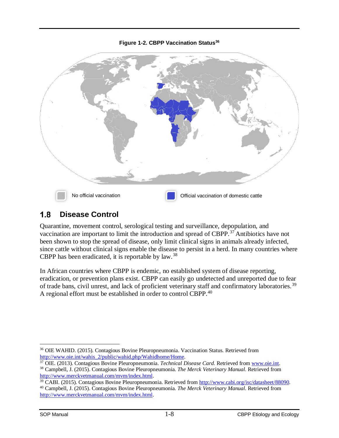#### **Figure 1-2. CBPP Vaccination Status<sup>36</sup>**



#### $1.8$ **Disease Control**

Quarantine, movement control, serological testing and surveillance, depopulation, and vaccination are important to limit the introduction and spread of CBPP.[37](#page-10-1) Antibiotics have not been shown to stop the spread of disease, only limit clinical signs in animals already infected, since cattle without clinical signs enable the disease to persist in a herd. In many countries where CBPP has been eradicated, it is reportable by law.<sup>[38](#page-10-2)</sup>

In African countries where CBPP is endemic, no established system of disease reporting, eradication, or prevention plans exist. CBPP can easily go undetected and unreported due to fear of trade bans, civil unrest, and lack of proficient veterinary staff and confirmatory laboratories.<sup>[39](#page-10-3)</sup> A regional effort must be established in order to control CBPP.<sup>[40](#page-10-4)</sup>

<span id="page-10-0"></span> <sup>36</sup> OIE WAHID. (2015). Contagious Bovine Pleuropneumonia. Vaccination Status. Retrieved from [http://www.oie.int/wahis\\_2/public/wahid.php/Wahidhome/Home.](http://www.oie.int/wahis_2/public/wahid.php/Wahidhome/Home)

<span id="page-10-1"></span><sup>37</sup> OIE. (2013). Contagious Bovine Pleuropneumonia. *Technical Disease Card*. Retrieved from [www.oie.int.](http://www.oie.int/) <sup>38</sup> Campbell, J. (2015). Contagious Bovine Pleuropneumonia. *The Merck Veterinary Manual*. Retrieved from

<span id="page-10-2"></span>[http://www.merckvetmanual.com/mvm/index.html.](http://www.merckvetmanual.com/mvm/index.html)<br><sup>39</sup> CABI. (2015). Contagious Bovine Pleuropneumonia. Retrieved from http://www.cabi.org/isc/datasheet/88090.

<span id="page-10-4"></span><span id="page-10-3"></span><sup>&</sup>lt;sup>40</sup> Campbell, J. (2015). Contagious Bovine Pleuropneumonia. The Merck Veterinary Manual. Retrieved from <http://www.merckvetmanual.com/mvm/index.html.>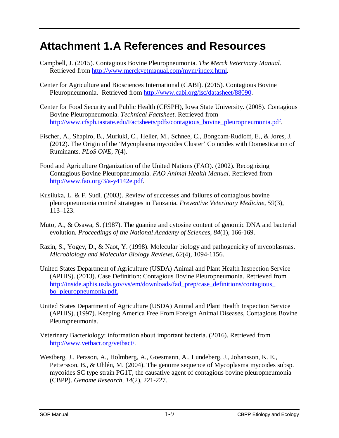## **Attachment 1.A References and Resources**

- Campbell, J. (2015). Contagious Bovine Pleuropneumonia. *The Merck Veterinary Manual*. Retrieved from [http://www.merckvetmanual.com/mvm/index.html.](http://www.merckvetmanual.com/mvm/index.html)
- Center for Agriculture and Biosciences International (CABI). (2015). Contagious Bovine Pleuropneumonia[.](http://www.cabi.org/) Retrieved from [http://www.cabi.org/isc/datasheet/88090.](http://www.cabi.org/isc/datasheet/88090)
- Center for Food Security and Public Health (CFSPH), Iowa State University. (2008). Contagious Bovine Pleuropneumonia. *Technical Factsheet*. Retrieved from [http://www.cfsph.iastate.edu/Factsheets/pdfs/contagious\\_bovine\\_pleuropneumonia.pdf.](http://www.cfsph.iastate.edu/Factsheets/pdfs/contagious_bovine_pleuropneumonia.pdf)
- Fischer, A., Shapiro, B., Muriuki, C., Heller, M., Schnee, C., Bongcam-Rudloff, E., & Jores, J. (2012). The Origin of the 'Mycoplasma mycoides Cluster' Coincides with Domestication of Ruminants. *PLoS ONE*, *7*(4).
- Food and Agriculture Organization of the United Nations (FAO). (2002). Recognizing Contagious Bovine Pleuropneumonia. *FAO Animal Health Manual*. Retrieved from [http://www.fao.org/3/a-y4142e.pdf.](http://www.fao.org/3/a-y4142e.pdf)
- Kusiluka, L. & F. Sudi. (2003). Review of successes and failures of contagious bovine pleuropneumonia control strategies in Tanzania. *Preventive Veterinary Medicine*, *59*(3), 113–123.
- Muto, A., & Osawa, S. (1987). The guanine and cytosine content of genomic DNA and bacterial evolution. *Proceedings of the National Academy of Sciences*, *84*(1), 166-169.
- Razin, S., Yogev, D., & Naot, Y. (1998). Molecular biology and pathogenicity of mycoplasmas. *Microbiology and Molecular Biology Reviews*, *62*(4), 1094-1156.
- United States Department of Agriculture (USDA) Animal and Plant Health Inspection Service (APHIS). (2013). Case Definition: Contagious Bovine Pleuropneumonia. Retrieved from http://inside.aphis.usda.gov/vs/em/downloads/fad\_prep/case\_definitions/contagious [bo\\_pleuropneumonia.pdf.](http://inside.aphis.usda.gov/vs/em/downloads/fad_prep/case_definitions/contagious_bo_pleuropneumonia.pdf.)
- United States Department of Agriculture (USDA) Animal and Plant Health Inspection Service (APHIS). (1997). Keeping America Free From Foreign Animal Diseases, Contagious Bovine Pleuropneumonia.
- Veterinary Bacteriology: information about important bacteria. (2016). Retrieved from [http://www.vetbact.org/vetbact/.](http://www.vetbact.org/vetbact/)
- Westberg, J., Persson, A., Holmberg, A., Goesmann, A., Lundeberg, J., Johansson, K. E., Pettersson, B., & Uhlén, M. (2004). The genome sequence of Mycoplasma mycoides subsp. mycoides SC type strain PG1T, the causative agent of contagious bovine pleuropneumonia (CBPP). *Genome Research, 14*(2), 221-227.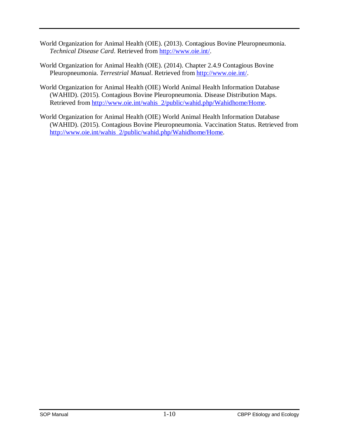- World Organization for Animal Health (OIE). (2013). Contagious Bovine Pleuropneumonia. *Technical Disease Card*. Retrieved from [http://www.oie.int/.](http://www.oie.int/)
- World Organization for Animal Health (OIE). (2014). Chapter 2.4.9 Contagious Bovine Pleuropneumonia. *Terrestrial Manual*. Retrieved from [http://www.oie.int/.](http://www.oie.int/)
- World Organization for Animal Health (OIE) World Animal Health Information Database (WAHID). (2015). Contagious Bovine Pleuropneumonia. Disease Distribution Maps. Retrieved from [http://www.oie.int/wahis\\_2/public/wahid.php/Wahidhome/Home.](http://www.oie.int/wahis_2/public/wahid.php/Wahidhome/Home)
- World Organization for Animal Health (OIE) World Animal Health Information Database (WAHID). (2015). Contagious Bovine Pleuropneumonia. Vaccination Status. Retrieved from [http://www.oie.int/wahis\\_2/public/wahid.php/Wahidhome/Home.](http://www.oie.int/wahis_2/public/wahid.php/Wahidhome/Home)